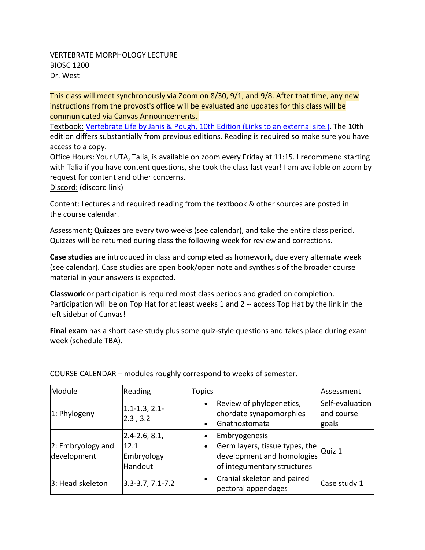#### VERTEBRATE MORPHOLOGY LECTURE BIOSC 1200 Dr. West

This class will meet synchronously via Zoom on 8/30, 9/1, and 9/8. After that time, any new instructions from the provost's office will be evaluated and updates for this class will be communicated via Canvas Announcements.

Textbook: [Vertebrate Life by Janis & Pough, 10th Edition](https://pitt.primo.exlibrisgroup.com/permalink/01PITT_INST/1sjtb5p/alma9995373333406236) (Links to an external site.). The 10th edition differs substantially from previous editions. Reading is required so make sure you have access to a copy.

Office Hours: Your UTA, Talia, is available on zoom every Friday at 11:15. I recommend starting with Talia if you have content questions, she took the class last year! I am available on zoom by request for content and other concerns.

Discord: (discord link)

Content: Lectures and required reading from the textbook & other sources are posted in the course calendar.

Assessment: **Quizzes** are every two weeks (see calendar), and take the entire class period. Quizzes will be returned during class the following week for review and corrections.

**Case studies** are introduced in class and completed as homework, due every alternate week (see calendar). Case studies are open book/open note and synthesis of the broader course material in your answers is expected.

**Classwork** or participation is required most class periods and graded on completion. Participation will be on Top Hat for at least weeks 1 and 2 -- access Top Hat by the link in the left sidebar of Canvas!

**Final exam** has a short case study plus some quiz-style questions and takes place during exam week (schedule TBA).

| Module                           | Reading                                            | Topics                                                                                                                                 | Assessment                             |
|----------------------------------|----------------------------------------------------|----------------------------------------------------------------------------------------------------------------------------------------|----------------------------------------|
| 1: Phylogeny                     | $1.1 - 1.3, 2.1 -$<br> 2.3, 3.2                    | Review of phylogenetics,<br>chordate synapomorphies<br>Gnathostomata<br>$\bullet$                                                      | Self-evaluation<br>and course<br>goals |
| 2: Embryology and<br>development | $2.4 - 2.6, 8.1,$<br>12.1<br>Embryology<br>Handout | Embryogenesis<br>Germ layers, tissue types, the $\alpha$ Quiz 1 development and homologies<br>$\bullet$<br>of integumentary structures |                                        |
| 3: Head skeleton                 | $3.3 - 3.7, 7.1 - 7.2$                             | Cranial skeleton and paired<br>$\bullet$<br>pectoral appendages                                                                        | Case study 1                           |

COURSE CALENDAR – modules roughly correspond to weeks of semester.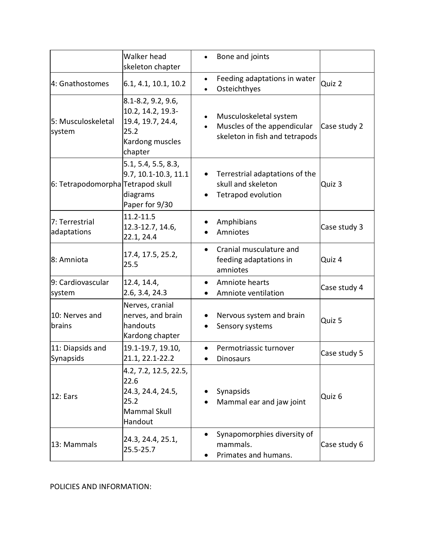|                                   | Walker head<br>skeleton chapter                                                                    | Bone and joints                                                                                                   |              |
|-----------------------------------|----------------------------------------------------------------------------------------------------|-------------------------------------------------------------------------------------------------------------------|--------------|
| 4: Gnathostomes                   | 6.1, 4.1, 10.1, 10.2                                                                               | Feeding adaptations in water<br>$\bullet$<br>Osteichthyes<br>$\bullet$                                            | Quiz 2       |
| 5: Musculoskeletal<br>system      | 8.1-8.2, 9.2, 9.6,<br>10.2, 14.2, 19.3-<br>19.4, 19.7, 24.4,<br>25.2<br>Kardong muscles<br>chapter | Musculoskeletal system<br>$\bullet$<br>Muscles of the appendicular<br>$\bullet$<br>skeleton in fish and tetrapods | Case study 2 |
| 6: Tetrapodomorpha Tetrapod skull | 5.1, 5.4, 5.5, 8.3,<br>9.7, 10.1-10.3, 11.1<br>diagrams<br>Paper for 9/30                          | Terrestrial adaptations of the<br>skull and skeleton<br>Tetrapod evolution                                        | Quiz 3       |
| 7: Terrestrial<br>adaptations     | 11.2-11.5<br>12.3-12.7, 14.6,<br>22.1, 24.4                                                        | Amphibians<br>Amniotes                                                                                            | Case study 3 |
| 8: Amniota                        | 17.4, 17.5, 25.2,<br>25.5                                                                          | Cranial musculature and<br>$\bullet$<br>feeding adaptations in<br>amniotes                                        | Quiz 4       |
| 9: Cardiovascular<br>system       | 12.4, 14.4,<br>2.6, 3.4, 24.3                                                                      | Amniote hearts<br>$\bullet$<br>Amniote ventilation                                                                | Case study 4 |
| 10: Nerves and<br>brains          | Nerves, cranial<br>nerves, and brain<br>handouts<br>Kardong chapter                                | Nervous system and brain<br>Sensory systems<br>$\bullet$                                                          | Quiz 5       |
| 11: Diapsids and<br>Synapsids     | 19.1-19.7, 19.10,<br>21.1, 22.1-22.2                                                               | Permotriassic turnover<br><b>Dinosaurs</b>                                                                        | Case study 5 |
| 12: Ears                          | 4.2, 7.2, 12.5, 22.5,<br>22.6<br>24.3, 24.4, 24.5,<br>25.2<br><b>Mammal Skull</b><br>Handout       | Synapsids<br>Mammal ear and jaw joint                                                                             | Quiz 6       |
| 13: Mammals                       | 24.3, 24.4, 25.1,<br>25.5-25.7                                                                     | Synapomorphies diversity of<br>mammals.<br>Primates and humans.                                                   | Case study 6 |

POLICIES AND INFORMATION: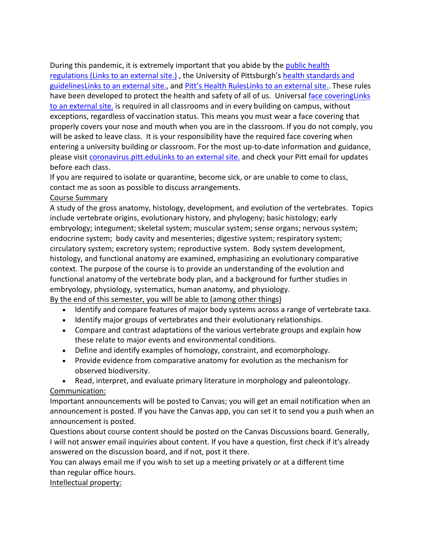During this pandemic, it is extremely important that you abide by the [public health](https://www.alleghenycounty.us/Health-Department/Resources/COVID-19/COVID-19.aspx)  regulations [\(Links to an external site.\)](https://www.alleghenycounty.us/Health-Department/Resources/COVID-19/COVID-19.aspx) , the University of Pittsburgh's [health standards and](https://www.policy.pitt.edu/university-policies-and-procedures/covid-19-standards-and-guidelines)  [guidelinesLinks to an external site.,](https://www.policy.pitt.edu/university-policies-and-procedures/covid-19-standards-and-guidelines) and [Pitt's Health RulesLinks to an](https://www.coronavirus.pitt.edu/healthy-community/pitts-health-rules) external site.. These rules have been developed to protect the health and safety of all of us. Universal [face coveringLinks](https://www.coronavirus.pitt.edu/frequently-asked-questions-about-face-coverings)  [to an external site.](https://www.coronavirus.pitt.edu/frequently-asked-questions-about-face-coverings) is required in all classrooms and in every building on campus, without exceptions, regardless of vaccination status. This means you must wear a face covering that properly covers your nose and mouth when you are in the classroom. If you do not comply, you will be asked to leave class. It is your responsibility have the required face covering when entering a university building or classroom. For the most up-to-date information and guidance, please visit [coronavirus.pitt.eduLinks to an external site.](http://coronavirus.pitt.edu/) and check your Pitt email for updates before each class.

If you are required to isolate or quarantine, become sick, or are unable to come to class, contact me as soon as possible to discuss arrangements.

#### Course Summary

A study of the gross anatomy, histology, development, and evolution of the vertebrates. Topics include vertebrate origins, evolutionary history, and phylogeny; basic histology; early embryology; integument; skeletal system; muscular system; sense organs; nervous system; endocrine system; body cavity and mesenteries; digestive system; respiratory system; circulatory system; excretory system; reproductive system. Body system development, histology, and functional anatomy are examined, emphasizing an evolutionary comparative context. The purpose of the course is to provide an understanding of the evolution and functional anatomy of the vertebrate body plan, and a background for further studies in embryology, physiology, systematics, human anatomy, and physiology.

By the end of this semester, you will be able to (among other things)

- Identify and compare features of major body systems across a range of vertebrate taxa.
- Identify major groups of vertebrates and their evolutionary relationships.
- Compare and contrast adaptations of the various vertebrate groups and explain how these relate to major events and environmental conditions.
- Define and identify examples of homology, constraint, and ecomorphology.
- Provide evidence from comparative anatomy for evolution as the mechanism for observed biodiversity.
- Read, interpret, and evaluate primary literature in morphology and paleontology.

## Communication:

Important announcements will be posted to Canvas; you will get an email notification when an announcement is posted. If you have the Canvas app, you can set it to send you a push when an announcement is posted.

Questions about course content should be posted on the Canvas Discussions board. Generally, I will not answer email inquiries about content. If you have a question, first check if it's already answered on the discussion board, and if not, post it there.

You can always email me if you wish to set up a meeting privately or at a different time than regular office hours.

## Intellectual property: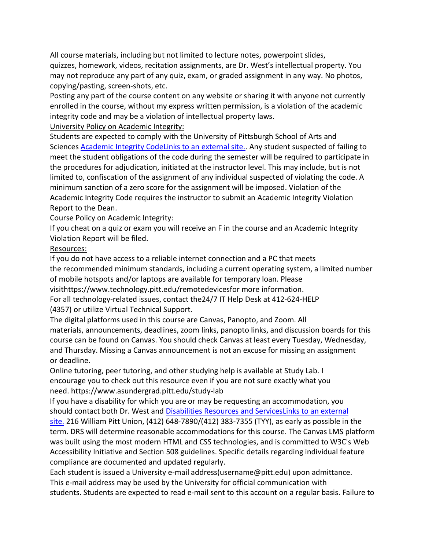All course materials, including but not limited to lecture notes, powerpoint slides, quizzes, homework, videos, recitation assignments, are Dr. West's intellectual property. You may not reproduce any part of any quiz, exam, or graded assignment in any way. No photos, copying/pasting, screen-shots, etc.

Posting any part of the course content on any website or sharing it with anyone not currently enrolled in the course, without my express written permission, is a violation of the academic integrity code and may be a violation of intellectual property laws.

University Policy on Academic Integrity:

Students are expected to comply with the University of Pittsburgh School of Arts and Sciences [Academic Integrity CodeLinks to an external site..](https://www.as.pitt.edu/faculty/policies-and-procedures/academic-integrity-code) Any student suspected of failing to meet the student obligations of the code during the semester will be required to participate in the procedures for adjudication, initiated at the instructor level. This may include, but is not limited to, confiscation of the assignment of any individual suspected of violating the code. A minimum sanction of a zero score for the assignment will be imposed. Violation of the Academic Integrity Code requires the instructor to submit an Academic Integrity Violation Report to the Dean.

Course Policy on Academic Integrity:

If you cheat on a quiz or exam you will receive an F in the course and an Academic Integrity Violation Report will be filed.

# Resources:

If you do not have access to a reliable internet connection and a PC that meets the recommended minimum standards, including a current operating system, a limited number of mobile hotspots and/or laptops are available for temporary loan. Please visithttps://www.technology.pitt.edu/remotedevicesfor more information. For all technology-related issues, contact the24/7 IT Help Desk at 412-624-HELP (4357) or utilize Virtual Technical Support.

The digital platforms used in this course are Canvas, Panopto, and Zoom. All materials, announcements, deadlines, zoom links, panopto links, and discussion boards for this course can be found on Canvas. You should check Canvas at least every Tuesday, Wednesday, and Thursday. Missing a Canvas announcement is not an excuse for missing an assignment or deadline.

Online tutoring, peer tutoring, and other studying help is available at Study Lab. I encourage you to check out this resource even if you are not sure exactly what you need. https://www.asundergrad.pitt.edu/study-lab

If you have a disability for which you are or may be requesting an accommodation, you should contact both Dr. West and Disabilities Resources and ServicesLinks to an external [site.](https://www.diversity.pitt.edu/disability-access/disability-resources-and-services) 216 William Pitt Union, (412) 648-7890/(412) 383-7355 (TYY), as early as possible in the term. DRS will determine reasonable accommodations for this course. The Canvas LMS platform was built using the most modern HTML and CSS technologies, and is committed to W3C's Web Accessibility Initiative and Section 508 guidelines. Specific details regarding individual feature compliance are documented and updated regularly.

Each student is issued a University e-mail address(username@pitt.edu) upon admittance. This e-mail address may be used by the University for official communication with students. Students are expected to read e-mail sent to this account on a regular basis. Failure to